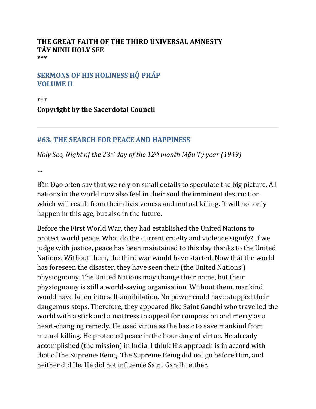## **THE GREAT FAITH OF THE THIRD UNIVERSAL AMNESTY TÂY NINH HOLY SEE \*\*\***

## **SERMONS OF HIS HOLINESS HỘ PHÁP VOLUME II**

**\*\*\***

**Copyright by the Sacerdotal Council**

## **#63. THE SEARCH FOR PEACE AND HAPPINESS**

*Holy See, Night of the 23rd day of the 12th month Mậu Tý year (1949)*

…

Bần Đạo often say that we rely on small details to speculate the big picture. All nations in the world now also feel in their soul the imminent destruction which will result from their divisiveness and mutual killing. It will not only happen in this age, but also in the future.

Before the First World War, they had established the United Nations to protect world peace. What do the current cruelty and violence signify? If we judge with justice, peace has been maintained to this day thanks to the United Nations. Without them, the third war would have started. Now that the world has foreseen the disaster, they have seen their (the United Nations') physiognomy. The United Nations may change their name, but their physiognomy is still a world-saving organisation. Without them, mankind would have fallen into self-annihilation. No power could have stopped their dangerous steps. Therefore, they appeared like Saint Gandhi who travelled the world with a stick and a mattress to appeal for compassion and mercy as a heart-changing remedy. He used virtue as the basic to save mankind from mutual killing. He protected peace in the boundary of virtue. He already accomplished (the mission) in India. I think His approach is in accord with that of the Supreme Being. The Supreme Being did not go before Him, and neither did He. He did not influence Saint Gandhi either.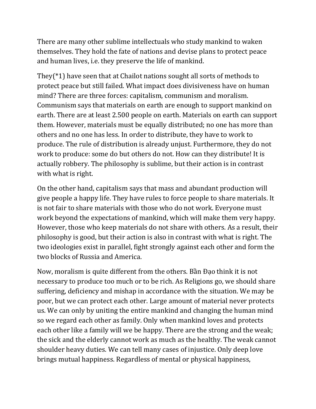There are many other sublime intellectuals who study mankind to waken themselves. They hold the fate of nations and devise plans to protect peace and human lives, i.e. they preserve the life of mankind.

They(\*1) have seen that at Chailot nations sought all sorts of methods to protect peace but still failed. What impact does divisiveness have on human mind? There are three forces: capitalism, communism and moralism. Communism says that materials on earth are enough to support mankind on earth. There are at least 2.500 people on earth. Materials on earth can support them. However, materials must be equally distributed; no one has more than others and no one has less. In order to distribute, they have to work to produce. The rule of distribution is already unjust. Furthermore, they do not work to produce: some do but others do not. How can they distribute! It is actually robbery. The philosophy is sublime, but their action is in contrast with what is right.

On the other hand, capitalism says that mass and abundant production will give people a happy life. They have rules to force people to share materials. It is not fair to share materials with those who do not work. Everyone must work beyond the expectations of mankind, which will make them very happy. However, those who keep materials do not share with others. As a result, their philosophy is good, but their action is also in contrast with what is right. The two ideologies exist in parallel, fight strongly against each other and form the two blocks of Russia and America.

Now, moralism is quite different from the others. Bần Đạo think it is not necessary to produce too much or to be rich. As Religions go, we should share suffering, deficiency and mishap in accordance with the situation. We may be poor, but we can protect each other. Large amount of material never protects us. We can only by uniting the entire mankind and changing the human mind so we regard each other as family. Only when mankind loves and protects each other like a family will we be happy. There are the strong and the weak; the sick and the elderly cannot work as much as the healthy. The weak cannot shoulder heavy duties. We can tell many cases of injustice. Only deep love brings mutual happiness. Regardless of mental or physical happiness,